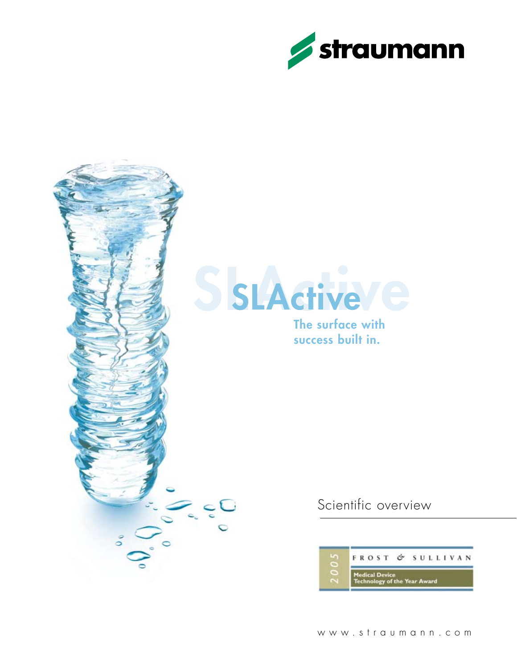



Scientific overview

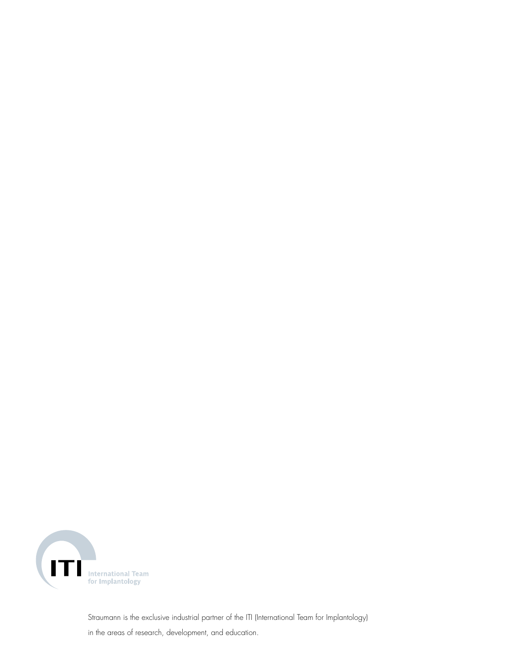

Straumann is the exclusive industrial partner of the ITI (International Team for Implantology) in the areas of research, development, and education.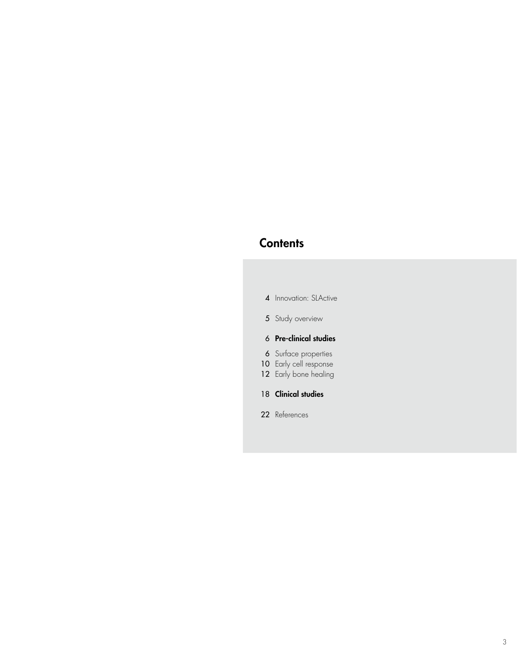### **Contents**

|  | 4 Innovation: SLActive |  |
|--|------------------------|--|
|--|------------------------|--|

5 Study overview

### 6 Pre-clinical studies

- 6 Surface properties
- 10 Early cell response
- 12 Early bone healing
- 18 Clinical studies
- 22 References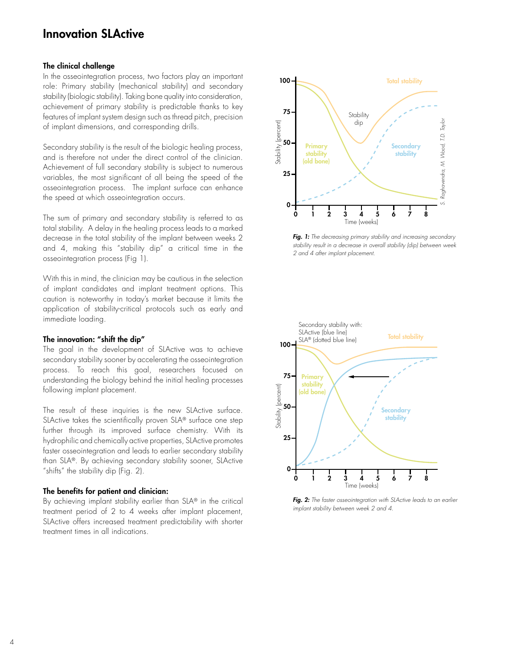### Innovation SLActive

#### The clinical challenge

In the osseointegration process, two factors play an important role: Primary stability (mechanical stability) and secondary stability (biologic stability). Taking bone quality into consideration, achievement of primary stability is predictable thanks to key features of implant system design such as thread pitch, precision of implant dimensions, and corresponding drills.

Secondary stability is the result of the biologic healing process, and is therefore not under the direct control of the clinician. Achievement of full secondary stability is subject to numerous variables, the most significant of all being the speed of the osseointegration process. The implant surface can enhance the speed at which osseointegration occurs.

The sum of primary and secondary stability is referred to as total stability. A delay in the healing process leads to a marked decrease in the total stability of the implant between weeks 2 and 4, making this "stability dip" a critical time in the osseointegration process (Fig 1).

With this in mind, the clinician may be cautious in the selection of implant candidates and implant treatment options. This caution is noteworthy in today's market because it limits the application of stability-critical protocols such as early and immediate loading.

#### The innovation: "shift the dip"

The goal in the development of SLActive was to achieve secondary stability sooner by accelerating the osseointegration process. To reach this goal, researchers focused on understanding the biology behind the initial healing processes following implant placement.

The result of these inquiries is the new SLActive surface. SLActive takes the scientifically proven SLA® surface one step further through its improved surface chemistry. With its hydrophilic and chemically active properties, SLActive promotes faster osseointegration and leads to earlier secondary stability than SLA®. By achieving secondary stability sooner, SLActive "shifts" the stability dip (Fig. 2).

#### The benefits for patient and clinician:

By achieving implant stability earlier than SLA® in the critical treatment period of 2 to 4 weeks after implant placement, SLActive offers increased treatment predictability with shorter treatment times in all indications.



*Fig. 1: The decreasing primary stability and increasing secondary stability result in a decrease in overall stability (dip) between week 2 and 4 after implant placement.*



*Fig. 2: The faster osseointegration with SLActive leads to an earlier implant stability between week 2 and 4.*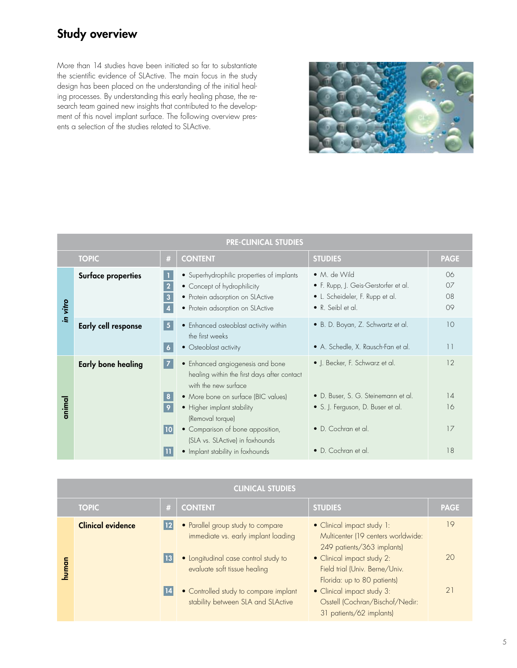# Study overview

More than 14 studies have been initiated so far to substantiate the scientific evidence of SLActive. The main focus in the study design has been placed on the understanding of the initial healing processes. By understanding this early healing phase, the research team gained new insights that contributed to the development of this novel implant surface. The following overview presents a selection of the studies related to SLActive.



| <b>PRE-CLINICAL STUDIES</b> |                           |                          |                                                                                                                                                  |                                                                                                              |                                  |
|-----------------------------|---------------------------|--------------------------|--------------------------------------------------------------------------------------------------------------------------------------------------|--------------------------------------------------------------------------------------------------------------|----------------------------------|
|                             | <b>TOPIC</b>              | #                        | <b>CONTENT</b>                                                                                                                                   | <b>STUDIES</b>                                                                                               | <b>PAGE</b>                      |
| in vitro                    | <b>Surface properties</b> | $\overline{2}$<br>3      | • Superhydrophilic properties of implants<br>• Concept of hydrophilicity<br>• Protein adsorption on SLActive<br>• Protein adsorption on SLActive | • M. de Wild<br>• F. Rupp, J. Geis-Gerstorfer et al.<br>• L. Scheideler, F. Rupp et al.<br>• R. Seibl et al. | 06<br>O <sub>7</sub><br>08<br>09 |
|                             | Early cell response       | 5<br>$\ddot{\mathbf{6}}$ | • Enhanced osteoblast activity within<br>the first weeks<br>• Osteoblast activity                                                                | • B. D. Boyan, Z. Schwartz et al.<br>• A. Schedle, X. Rausch-Fan et al.                                      | 10<br>11                         |
|                             | <b>Early bone healing</b> | 17                       | • Enhanced angiogenesis and bone<br>healing within the first days after contact<br>with the new surface                                          | • J. Becker, F. Schwarz et al.                                                                               | 12                               |
| animal                      |                           | 8                        | • More bone on surface (BIC values)                                                                                                              | • D. Buser, S. G. Steinemann et al.                                                                          | 14                               |
|                             |                           | $\overline{9}$           | • Higher implant stability<br>(Removal torque)                                                                                                   | • S. J. Ferguson, D. Buser et al.                                                                            | 16                               |
|                             |                           | 10                       | • Comparison of bone apposition,<br>(SLA vs. SLActive) in foxhounds                                                                              | • D. Cochran et al.                                                                                          | 17                               |
|                             |                           |                          | • Implant stability in foxhounds                                                                                                                 | · D. Cochran et al.                                                                                          | 18                               |

|             | <b>CLINICAL STUDIES</b>  |    |                                                                                                                                                                                                                                 |                                                                                                                                                                                                                                                                                            |                |
|-------------|--------------------------|----|---------------------------------------------------------------------------------------------------------------------------------------------------------------------------------------------------------------------------------|--------------------------------------------------------------------------------------------------------------------------------------------------------------------------------------------------------------------------------------------------------------------------------------------|----------------|
|             | <b>TOPIC</b>             | #  | <b>CONTENT</b>                                                                                                                                                                                                                  | <b>STUDIES</b>                                                                                                                                                                                                                                                                             | <b>PAGE</b>    |
| <b>uman</b> | <b>Clinical evidence</b> | 12 | • Parallel group study to compare<br>immediate vs. early implant loading<br>• Longitudinal case control study to<br>evaluate soft tissue healing<br>• Controlled study to compare implant<br>stability between SLA and SLActive | • Clinical impact study 1:<br>Multicenter (19 centers worldwide:<br>249 patients/363 implants)<br>• Clinical impact study 2:<br>Field trial (Univ. Berne/Univ.<br>Florida: up to 80 patients)<br>• Clinical impact study 3:<br>Osstell (Cochran/Bischof/Nedir:<br>31 patients/62 implants) | 19<br>20<br>21 |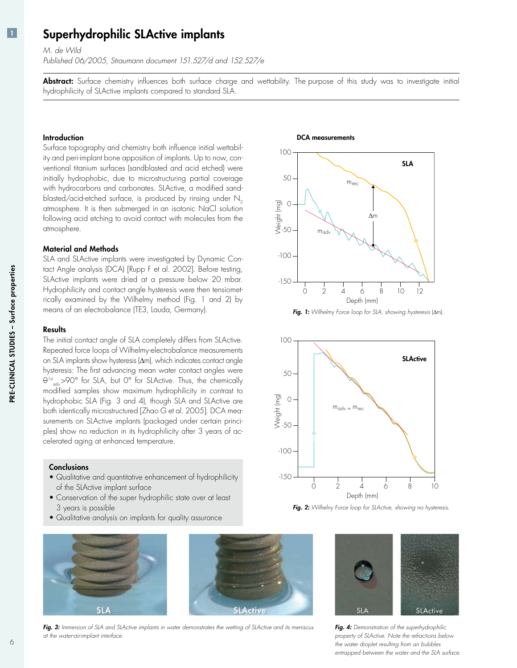### Superhydrophilic SLActive implants

*M. de Wild*

*Published 06/2005, Straumann document 151.527/d and 152.527/e*

Abstract: Surface chemistry influences both surface charge and wettability. The purpose of this study was to investigate initial hydrophilicity of SLActive implants compared to standard SLA.

#### Introduction

Surface topography and chemistry both influence initial wettability and peri-implant bone apposition of implants. Up to now, conventional titanium surfaces (sandblasted and acid etched) were initially hydrophobic, due to microstructuring partial coverage with hydrocarbons and carbonates. SLActive, a modified sandblasted/acid-etched surface, is produced by rinsing under  $N<sub>2</sub>$ atmosphere. It is then submerged in an isotonic NaCl solution following acid etching to avoid contact with molecules from the atmosphere.

#### Material and Methods

SLA and SLActive implants were investigated by Dynamic Contact Angle analysis (DCA) [Rupp F et al. 2002]. Before testing, SLActive implants were dried at a pressure below 20 mbar. Hydrophilicity and contact angle hysteresis were then tensiometrically examined by the Wilhelmy method (Fig. 1 and 2) by means of an electrobalance (TE3, Lauda, Germany).

#### **Results**

The initial contact angle of SLA completely differs from SLActive. Repeated force loops of Wilhelmy-electrobalance measurements on SLA implants show hysteresis (∆m), which indicates contact angle hysteresis: The first advancing mean water contact angles were  $\theta$ <sup>1st</sup><sub>adv</sub>>90° for SLA, but 0° for SLActive. Thus, the chemically modified samples show maximum hydrophilicity in contrast to hydrophobic SLA (Fig. 3 and 4), though SLA and SLActive are both identically microstructured [Zhao G et al. 2005]. DCA measurements on SLActive implants (packaged under certain principles) show no reduction in its hydrophilicity after 3 years of accelerated aging at enhanced temperature.

#### **Conclusions**

- Qualitative and quantitative enhancement of hydrophilicity of the SLActive implant surface
- Conservation of the super hydrophilic state over at least 3 years is possible
- Qualitative analysis on implants for quality assurance •





Fig. 3: Immersion of SLA and SLActive implants in water demonstrates the wetting of SLActive and its meniscus *at the water-air-implant interface.*

#### DCA measurements



*Fig. 1: Wilhelmy Force loop for SLA, showing hysteresis* (∆m)*.*



*Fig. 2: Wilhelny Force loop for SLActive, showing no hysteresis.*



*Fig. 4: Demonstration of the superhydrophilic property of SLActive. Note the refractions below the water droplet resulting from air bubbles entrapped between the water and the SLA surface.*

PRE-CLINICAL STUDIES - Surface properties NICAL STUDIES – Surface properties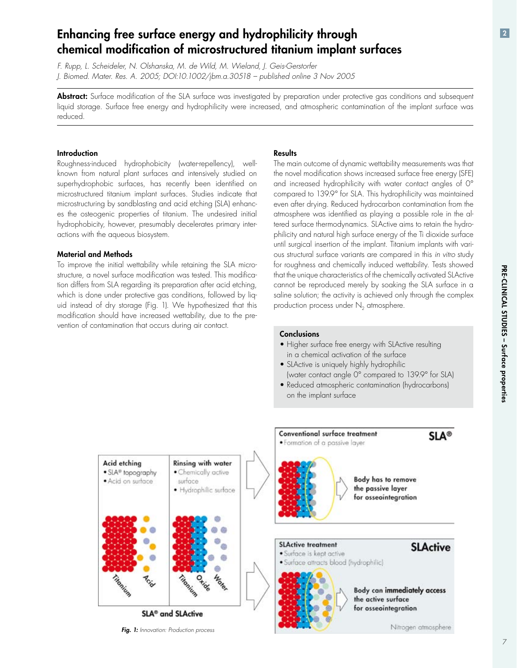Pre-cli

nical studies –

Surface

properties

### Enhancing free surface energy and hydrophilicity through chemical modification of microstructured titanium implant surfaces

*F. Rupp, L. Scheideler, N. Olshanska, M. de Wild, M. Wieland, J. Geis-Gerstorfer J. Biomed. Mater. Res. A. 2005; DOI:10.1002/jbm.a.30518 – published online 3 Nov 2005*

Abstract: Surface modification of the SLA surface was investigated by preparation under protective gas conditions and subsequent liquid storage. Surface free energy and hydrophilicity were increased, and atmospheric contamination of the implant surface was reduced.

#### Introduction

Roughness-induced hydrophobicity (water-repellency), wellknown from natural plant surfaces and intensively studied on superhydrophobic surfaces, has recently been identified on microstructured titanium implant surfaces. Studies indicate that microstructuring by sandblasting and acid etching (SLA) enhances the osteogenic properties of titanium. The undesired initial hydrophobicity, however, presumably decelerates primary interactions with the aqueous biosystem.

#### Material and Methods

To improve the initial wettability while retaining the SLA microstructure, a novel surface modification was tested. This modification differs from SLA regarding its preparation after acid etching, which is done under protective gas conditions, followed by liquid instead of dry storage (Fig. 1). We hypothesized that this modification should have increased wettability, due to the prevention of contamination that occurs during air contact.

#### **Results**

The main outcome of dynamic wettability measurements was that the novel modification shows increased surface free energy (SFE) and increased hydrophilicity with water contact angles of 0° compared to 139.9° for SLA. This hydrophilicity was maintained even after drying. Reduced hydrocarbon contamination from the atmosphere was identified as playing a possible role in the altered surface thermodynamics. SLActive aims to retain the hydrophilicity and natural high surface energy of the Ti dioxide surface until surgical insertion of the implant. Titanium implants with various structural surface variants are compared in this *in vitro* study for roughness and chemically induced wettability. Tests showed that the unique characteristics of the chemically activated SLActivecannot be reproduced merely by soaking the SLA surface in a saline solution; the activity is achieved only through the complex production process under  $N<sub>2</sub>$  atmosphere.

#### **Conclusions**

- Higher surface free energy with SLActive resulting in a chemical activation of the surface
- SLActive is uniquely highly hydrophilic (water contact angle 0° compared to 139.9° for SLA)
- Reduced atmospheric contamination (hydrocarbons) on the implant surface



*Fig. 1: Innovation: Production process*

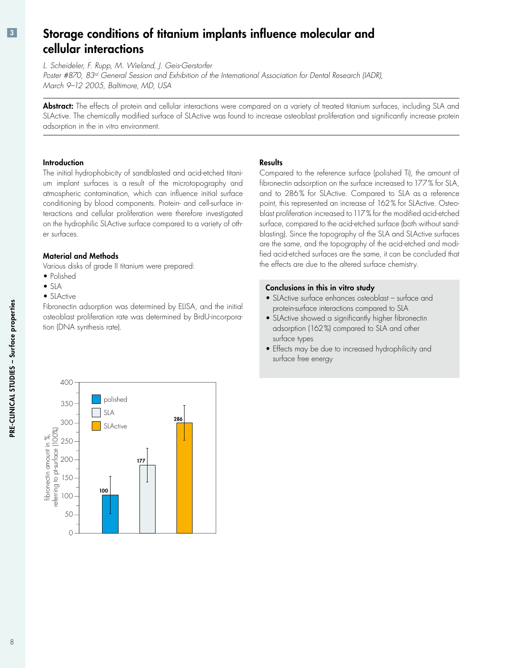### Storage conditions of titanium implants influence molecular and cellular interactions

*L. Scheideler, F. Rupp, M. Wieland, J. Geis-Gerstorfer*

*Poster #870, 83rd General Session and Exhibition of the International Association for Dental Research (IADR), March 9–12 2005, Baltimore, MD, USA*

Abstract: The effects of protein and cellular interactions were compared on a variety of treated titanium surfaces, including SLA and SLActive. The chemically modified surface of SLActive was found to increase osteoblast proliferation and significantly increase protein adsorption in the in vitro environment.

#### Introduction

The initial hydrophobicity of sandblasted and acid-etched titanium implant surfaces is a result of the microtopography and atmospheric contamination, which can influence initial surface conditioning by blood components. Protein- and cell-surface interactions and cellular proliferation were therefore investigated on the hydrophilic SLActive surface compared to a variety of other surfaces.

### Material and Methods

Various disks of grade II titanium were prepared:

- Polished
- SLA •
- SLActive

Fibronectin adsorption was determined by ELISA, and the initial osteoblast proliferation rate was determined by BrdU-incorporation (DNA synthesis rate).

#### **Results**

Compared to the reference surface (polished Ti), the amount of fibronectin adsorption on the surface increased to 177% for SLA, and to 286% for SLActive. Compared to SLA as a reference point, this represented an increase of 162% for SLActive. Osteoblast proliferation increased to 117% for the modified acid-etched surface, compared to the acid-etched surface (both without sandblasting). Since the topography of the SLA and SLActive surfaces are the same, and the topography of the acid-etched and modified acid-etched surfaces are the same, it can be concluded that the effects are due to the altered surface chemistry.

#### Conclusions in this in vitro study

- SLActive surface enhances osteoblast surface and protein-surface interactions compared to SLA
- SLActive showed a significantly higher fibronectin adsorption (162%) compared to SLA and other surface types
- Effects may be due to increased hydrophilicity and surface free energy



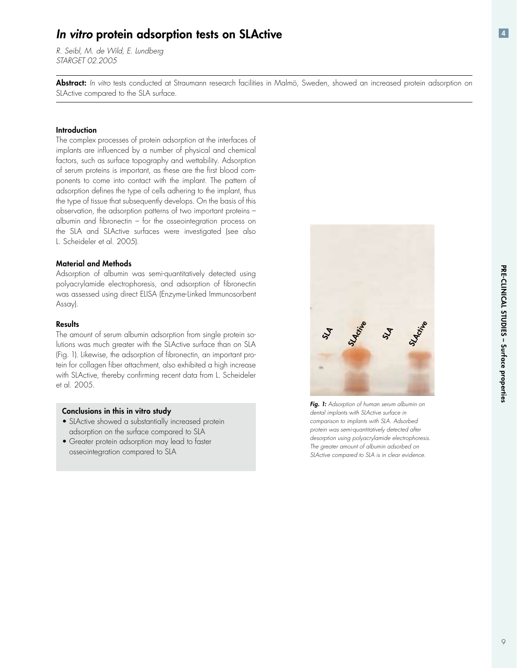### *In vitro* protein adsorption tests on SLActive

*R. Seibl, M. de Wild, E. Lundberg STARGET 02.2005*

Abstract: *In vitro* tests conducted at Straumann research facilities in Malmö, Sweden, showed an increased protein adsorption on SLActive compared to the SLA surface.

#### Introduction

The complex processes of protein adsorption at the interfaces of implants are influenced by a number of physical and chemical factors, such as surface topography and wettability. Adsorption of serum proteins is important, as these are the first blood components to come into contact with the implant. The pattern of adsorption defines the type of cells adhering to the implant, thus the type of tissue that subsequently develops. On the basis of this observation, the adsorption patterns of two important proteins – albumin and fibronectin – for the osseointegration process on the SLA and SLActive surfaces were investigated (see also L. Scheideler et al. 2005).

#### Material and Methods

Adsorption of albumin was semi-quantitatively detected using polyacrylamide electrophoresis, and adsorption of fibronectin was assessed using direct ELISA (Enzyme-Linked Immunosorbent Assay).

#### **Results**

The amount of serum albumin adsorption from single protein solutions was much greater with the SLActive surface than on SLA (Fig. 1). Likewise, the adsorption of fibronectin, an important protein for collagen fiber attachment, also exhibited a high increase with SLActive, thereby confirming recent data from L. Scheideleret al. 2005.

#### Conclusions in this in vitro study

- SLActive showed a substantially increased protein adsorption on the surface compared to SLA
- Greater protein adsorption may lead to faster osseointegration compared to SLA



*Fig. 1: Adsorption of human serum albumin on dental implants with SLActive surface in comparison to implants with SLA. Adsorbed protein was semi-quantitatively detected after desorption using polyacrylamide electrophoresis. The greater amount of albumin adsorbed on SLActive compared to SLA is in clear evidence.*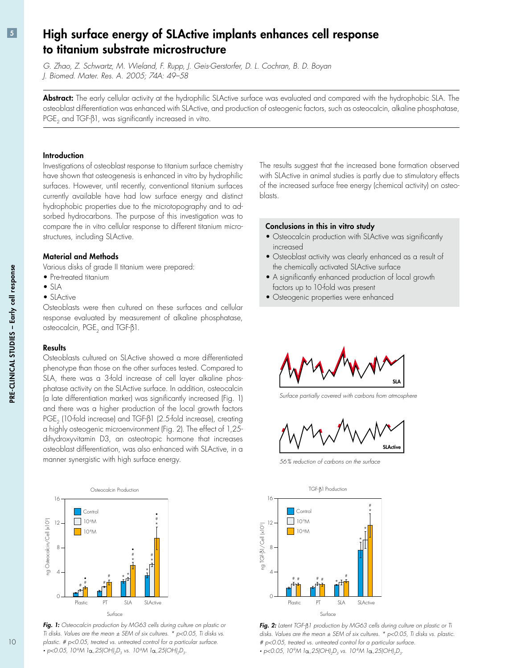### High surface energy of SLActive implants enhances cell response to titanium substrate microstructure

*G. Zhao, Z. Schwartz, M. Wieland, F. Rupp, J. Geis-Gerstorfer, D. L. Cochran, B. D. Boyan J. Biomed. Mater. Res. A. 2005; 74A: 49–58*

Abstract: The early cellular activity at the hydrophilic SLActive surface was evaluated and compared with the hydrophobic SLA. The osteoblast differentiation was enhanced with SLActive, and production of osteogenic factors, such as osteocalcin, alkaline phosphatase, PGE<sub>2</sub> and TGF- $\beta$ 1, was significantly increased in vitro.

#### **Introduction**

Investigations of osteoblast response to titanium surface chemistry have shown that osteogenesis is enhanced in vitro by hydrophilic surfaces. However, until recently, conventional titanium surfaces currently available have had low surface energy and distinct hydrophobic properties due to the microtopography and to adsorbed hydrocarbons. The purpose of this investigation was to compare the in vitro cellular response to different titanium microstructures, including SLActive.

#### Material and Methods

Various disks of grade II titanium were prepared:

- Pre-treated titanium
- SLA •
- SLActive

Osteoblasts were then cultured on these surfaces and cellular response evaluated by measurement of alkaline phosphatase, osteocalcin,  $PGE_2$  and TGF- $\beta$ 1.

#### **Results**

Osteoblasts cultured on SLActive showed a more differentiated phenotype than those on the other surfaces tested. Compared to SLA, there was a 3-fold increase of cell layer alkaline phosphatase activity on the SLActive surface. In addition, osteocalcin (a late differentiation marker) was significantly increased (Fig. 1) and there was a higher production of the local growth factors PGE<sub>2</sub> (10-fold increase) and TGF- $\beta$ 1 (2.5-fold increase), creating a highly osteogenic microenvironment (Fig. 2). The effect of 1,25 dihydroxyvitamin D3, an osteotropic hormone that increases osteoblast differentiation, was also enhanced with SLActive, in a manner synergistic with high surface energy.



*Fig. 1: Osteocalcin production by MG63 cells during culture on plastic or Ti disks. Values are the mean ± SEM of six cultures. \* p<0.05, Ti disks vs. plastic. # p<0.05, treated vs. untreated control for a particular surface.* • *p*<0.05, 10°M *lα*,25(OH)<sub>2</sub>D<sub>3</sub></sub> *vs.* 10<sup>8</sup>M *lα*,25(OH)<sub>2</sub>D<sub>3</sub>.

The results suggest that the increased bone formation observed with SLActive in animal studies is partly due to stimulatory effects of the increased surface free energy (chemical activity) on osteoblasts.

#### Conclusions in this in vitro study

- Osteocalcin production with SLActive was significantly increased
- Osteoblast activity was clearly enhanced as a result of the chemically activated SLActive surface
- A significantly enhanced production of local growth factors up to 10-fold was present
- Osteogenic properties were enhanced •



*Surface partially covered with carbons from atmosphere*



*56% reduction of carbons on the surface*

![](_page_9_Figure_25.jpeg)

*Fig. 2: Latent TGF- 1 production by MG63 cells during culture on plastic or Ti disks. Values are the mean ± SEM of six cultures. \* p<0.05, Ti disks vs. plastic. # p<0.05, treated vs. untreated control for a particular surface.* • *p*<0.05, 10°M *lα,25(OH)<sub>2</sub>D<sub>3</sub></sub> vs. 10°M lα,25(OH)<sub>2</sub>D<sub>3</sub>.*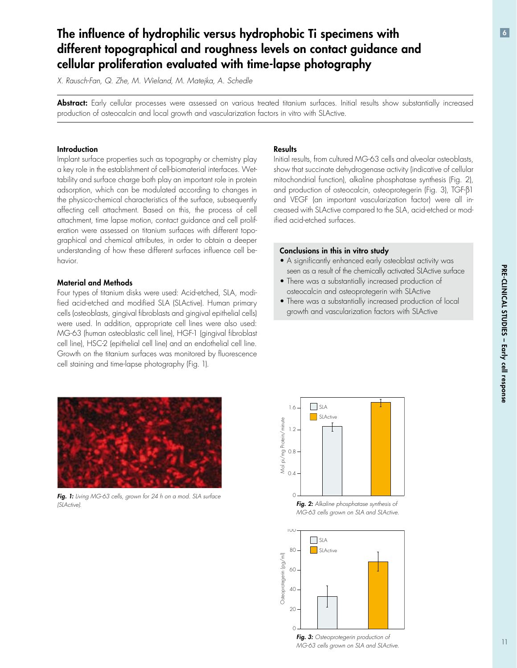# The influence of hydrophilic versus hydrophobic Ti specimens with different topographical and roughness levels on contact guidance and cellular proliferation evaluated with time-lapse photography

*X. Rausch-Fan, Q. Zhe, M. Wieland, M. Matejka, A. Schedle*

Abstract: Early cellular processes were assessed on various treated titanium surfaces. Initial results show substantially increased production of osteocalcin and local growth and vascularization factors in vitro with SLActive.

#### **Introduction**

Implant surface properties such as topography or chemistry play a key role in the establishment of cell-biomaterial interfaces. Wettability and surface charge both play an important role in protein adsorption, which can be modulated according to changes in the physico-chemical characteristics of the surface, subsequently affecting cell attachment. Based on this, the process of cell attachment, time lapse motion, contact guidance and cell proliferation were assessed on titanium surfaces with different topographical and chemical attributes, in order to obtain a deeper understanding of how these different surfaces influence cell behavior.

#### Material and Methods

Four types of titanium disks were used: Acid-etched, SLA, modified acid-etched and modified SLA (SLActive). Human primary cells (osteoblasts, gingival fibroblasts and gingival epithelial cells) were used. In addition, appropriate cell lines were also used: MG-63 (human osteoblastic cell line), HGF-1 (gingival fibroblast cell line), HSC-2 (epithelial cell line) and an endothelial cell line. Growth on the titanium surfaces was monitored by fluorescence cell staining and time-lapse photography (Fig. 1).

#### **Results**

Initial results, from cultured MG-63 cells and alveolar osteoblasts, show that succinate dehydrogenase activity (indicative of cellular mitochondrial function), alkaline phosphatase synthesis (Fig. 2), and production of osteocalcin, osteoprotegerin (Fig. 3), TGF-ß1 and VEGF (an important vascularization factor) were all increased with SLActive compared to the SLA, acid-etched or modified acid-etched surfaces.

#### Conclusions in this in vitro study

- A significantly enhanced early osteoblast activity was seen as a result of the chemically activated SLActive surface
- There was a substantially increased production of osteocalcin and osteoprotegerin with SLActive
- There was a substantially increased production of local growth and vascularization factors with SLActive

![](_page_10_Picture_15.jpeg)

*Fig. 1: Living MG-63 cells, grown for 24 h on a mod. SLA surface (SLActive).*

![](_page_10_Figure_17.jpeg)

*Fig. 2: Alkaline phosphatase synthesis of MG-63 cells grown on SLA and SLActive.*

![](_page_10_Figure_19.jpeg)

*Fig. 3: Osteoprotegerin production of MG-63 cells grown on SLA and SLActive.*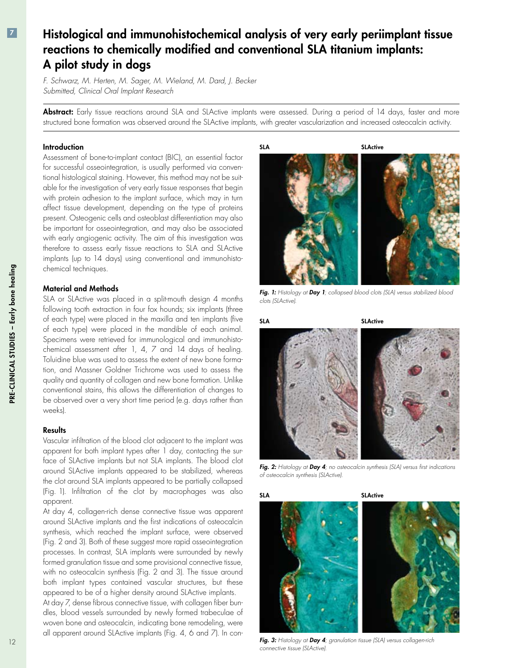# $|7|$

### Histological and immunohistochemical analysis of very early periimplant tissue reactions to chemically modified and conventional SLA titanium implants: A pilot study in dogs

*F. Schwarz, M. Herten, M. Sager, M. Wieland, M. Dard, J. Becker Submitted, Clinical Oral Implant Research*

Abstract: Early tissue reactions around SLA and SLActive implants were assessed. During a period of 14 days, faster and more structured bone formation was observed around the SLActive implants, with greater vascularization and increased osteocalcin activity.

#### **Introduction**

Assessment of bone-to-implant contact (BIC), an essential factor for successful osseointegration, is usually performed via conventional histological staining. However, this method may not be suitable for the investigation of very early tissue responses that begin with protein adhesion to the implant surface, which may in turn affect tissue development, depending on the type of proteins present. Osteogenic cells and osteoblast differentiation may also be important for osseointegration, and may also be associated with early angiogenic activity. The aim of this investigation was therefore to assess early tissue reactions to SLA and SLActive implants (up to 14 days) using conventional and immunohistochemical techniques.

#### Material and Methods

SLA or SLActive was placed in a split-mouth design 4 months following tooth extraction in four fox hounds; six implants (three of each type) were placed in the maxilla and ten implants (five of each type) were placed in the mandible of each animal. Specimens were retrieved for immunological and immunohistochemical assessment after 1, 4, 7 and 14 days of healing. Toluidine blue was used to assess the extent of new bone formation, and Massner Goldner Trichrome was used to assess the quality and quantity of collagen and new bone formation. Unlike conventional stains, this allows the differentiation of changes to be observed over a very short time period (e.g. days rather than weeks).

#### **Results**

Vascular infiltration of the blood clot adjacent to the implant was apparent for both implant types after 1 day, contacting the surface of SLActive implants but not SLA implants. The blood clot around SLActive implants appeared to be stabilized, whereas the clot around SLA implants appeared to be partially collapsed (Fig. 1). Infiltration of the clot by macrophages was also apparent.

At day 4, collagen-rich dense connective tissue was apparent around SLActive implants and the first indications of osteocalcin synthesis, which reached the implant surface, were observed (Fig. 2 and 3). Both of these suggest more rapid osseointegration processes. In contrast, SLA implants were surrounded by newly formed granulation tissue and some provisional connective tissue, with no osteocalcin synthesis (Fig. 2 and 3). The tissue around both implant types contained vascular structures, but these appeared to be of a higher density around SLActive implants.

At day 7, dense fibrous connective tissue, with collagen fiber bundles, blood vessels surrounded by newly formed trabeculae of woven bone and osteocalcin, indicating bone remodeling, were all apparent around SLActive implants (Fig. 4, 6 and 7). In con-

SLA SLActive

![](_page_11_Picture_14.jpeg)

*Fig. 1: Histology at Day 1; collapsed blood clots (SLA) versus stabilized blood clots (SLActive).*

![](_page_11_Picture_16.jpeg)

*Fig. 2: Histology at Day 4; no osteocalcin synthesis (SLA) versus first indications of osteocalcin synthesis (SLActive).*

![](_page_11_Picture_18.jpeg)

*Fig. 3: Histology at Day 4; granulation tissue (SLA) versus collagen-rich connective tissue (SLActive).*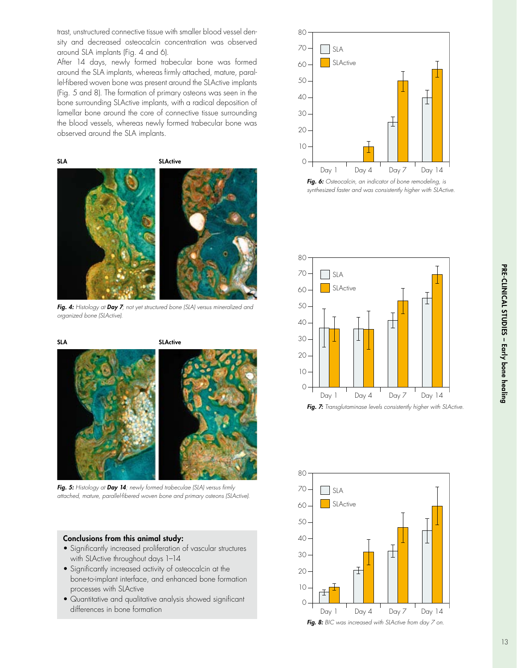Pre-cli nical studies – Early bone healing

trast, unstructured connective tissue with smaller blood vessel density and decreased osteocalcin concentration was observed around SLA implants (Fig. 4 and 6).

After 14 days, newly formed trabecular bone was formed around the SLA implants, whereas firmly attached, mature, parallel-fibered woven bone was present around the SLActive implants (Fig. 5 and 8). The formation of primary osteons was seen in the bone surrounding SLActive implants, with a radical deposition of lamellar bone around the core of connective tissue surrounding the blood vessels, whereas newly formed trabecular bone was observed around the SLA implants.

SLA SLActive

*Fig. 4: Histology at Day 7; not yet structured bone (SLA) versus mineralized and organized bone (SLActive).*

![](_page_12_Figure_5.jpeg)

*Fig. 5: Histology at Day 14; newly formed trabeculae (SLA) versus firmly attached, mature, parallel-fibered woven bone and primary osteons (SLActive).*

#### Conclusions from this animal study:

- Significantly increased proliferation of vascular structures with SLActive throughout days 1–14
- Significantly increased activity of osteocalcin at the bone-to-implant interface, and enhanced bone formation processes with SLActive
- Quantitative and qualitative analysis showed significant differences in bone formation

![](_page_12_Figure_11.jpeg)

![](_page_12_Figure_12.jpeg)

![](_page_12_Figure_13.jpeg)

![](_page_12_Figure_14.jpeg)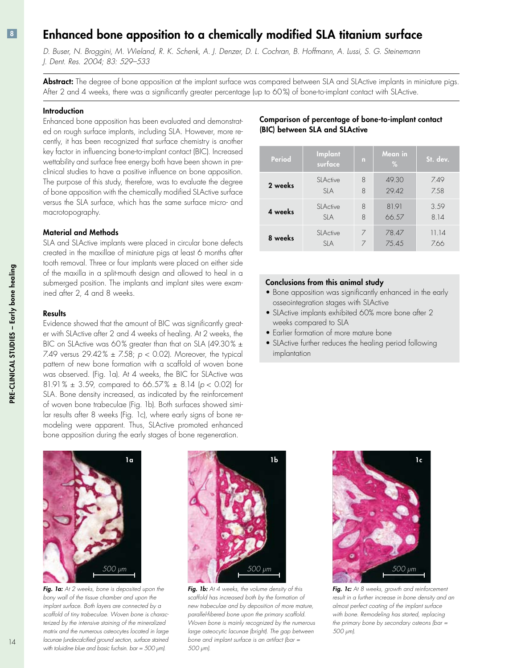### Enhanced bone apposition to a chemically modified SLA titanium surface

D. Buser, N. Broggini, M. Wieland, R. K. Schenk, A. J. Denzer, D. L. Cochran, B. Hoffmann, A. Lussi, S. G. Steinemann *J. Dent. Res. 2004; 83: 529–533*

Abstract: The degree of bone apposition at the implant surface was compared between SLA and SLActive implants in miniature pigs. After 2 and 4 weeks, there was a significantly greater percentage (up to 60%) of bone-to-implant contact with SLActive.

#### **Introduction**

Enhanced bone apposition has been evaluated and demonstrated on rough surface implants, including SLA. However, more recently, it has been recognized that surface chemistry is another key factor in influencing bone-to-implant contact (BIC). Increased wettability and surface free energy both have been shown in preclinical studies to have a positive influence on bone apposition. The purpose of this study, therefore, was to evaluate the degree of bone apposition with the chemically modified SLActive surface versus the SLA surface, which has the same surface micro- and macrotopography.

#### Material and Methods

SLA and SLActive implants were placed in circular bone defects created in the maxillae of miniature pigs at least 6 months after tooth removal. Three or four implants were placed on either side of the maxilla in a split-mouth design and allowed to heal in a submerged position. The implants and implant sites were examined after 2, 4 and 8 weeks.

#### **Results**

Evidence showed that the amount of BIC was significantly greater with SLActive after 2 and 4 weeks of healing. At 2 weeks, the BIC on SLActive was 60% greater than that on SLA (49.30%  $\pm$ 7.49 versus 29.42% ± 7.58; *p* < 0.02). Moreover, the typical pattern of new bone formation with a scaffold of woven bone was observed. (Fig. 1a). At 4 weeks, the BIC for SLActive was 81.91% ± 3.59, compared to 66.57% ± 8.14 (*p* < 0.02) for SLA. Bone density increased, as indicated by the reinforcement of woven bone trabeculae (Fig. 1b). Both surfaces showed similar results after 8 weeks (Fig. 1c), where early signs of bone remodeling were apparent. Thus, SLActive promoted enhanced bone apposition during the early stages of bone regeneration.

![](_page_13_Figure_9.jpeg)

*Fig. 1a: At 2 weeks, bone is deposited upon the bony wall of the tissue chamber and upon the implant surface. Both layers are connected by a scaffold of tiny trabeculae. Woven bone is characterized by the intensive staining of the mineralized matrix and the numerous osteocytes located in large lacunae (undecalcified ground section, surface stained with toluidine blue and basic fuchsin. bar = 500 μm).*

![](_page_13_Picture_11.jpeg)

*Fig. 1b: At 4 weeks, the volume density of this scaffold has increased both by the formation of new trabeculae and by deposition of more mature, parallel-fibered bone upon the primary scaffold. Woven bone is mainly recognized by the numerous large osteocytic lacunae (bright). The gap between bone and implant surface is an artifact (bar = 500 μm).*

![](_page_13_Picture_13.jpeg)

| Period  | Implant<br>surface      | n | Mean in<br>$\%$ | St. dev.     |
|---------|-------------------------|---|-----------------|--------------|
| 2 weeks | SI Active               | 8 | 49.30           | 7.49         |
|         | SI A                    | 8 | 29.42           | 7.58         |
| 4 weeks | SI Active               | 8 | 81.91           | 3.59         |
|         | SIA                     | 8 | 66.57           | 8.14         |
| 8 weeks | SI Active<br><b>SIA</b> | 7 | 78.47<br>75.45  | 11.14<br>766 |

#### Conclusions from this animal study

- Bone apposition was significantly enhanced in the early osseointegration stages with SLActive
- SLActive implants exhibited 60% more bone after 2 weeks compared to SLA
- Earlier formation of more mature bone •
- SLActive further reduces the healing period following implantation

![](_page_13_Picture_20.jpeg)

*Fig. 1c: At 8 weeks, growth and reinforcement result in a further increase in bone density and an almost perfect coating of the implant surface with bone. Remodeling has started, replacing the primary bone by secondary osteons (bar = 500 μm).*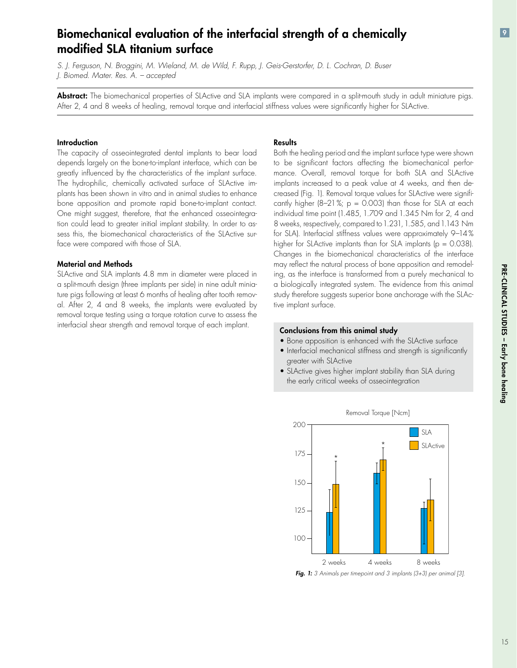## Biomechanical evaluation of the interfacial strength of a chemically modified SLA titanium surface

S. J. Ferguson, N. Broggini, M. Wieland, M. de Wild, F. Rupp, J. Geis-Gerstorfer, D. L. Cochran, D. Buser *J. Biomed. Mater. Res. A. – accepted*

Abstract: The biomechanical properties of SLActive and SLA implants were compared in a split-mouth study in adult miniature pigs. After 2, 4 and 8 weeks of healing, removal torque and interfacial stiffness values were significantly higher for SLActive.

#### **Introduction**

The capacity of osseointegrated dental implants to bear load depends largely on the bone-to-implant interface, which can be greatly influenced by the characteristics of the implant surface. The hydrophilic, chemically activated surface of SLActive implants has been shown in vitro and in animal studies to enhance bone apposition and promote rapid bone-to-implant contact. One might suggest, therefore, that the enhanced osseointegration could lead to greater initial implant stability. In order to assess this, the biomechanical characteristics of the SLActive surface were compared with those of SLA.

#### Material and Methods

SLActive and SLA implants 4.8 mm in diameter were placed in a split-mouth design (three implants per side) in nine adult miniature pigs following at least 6 months of healing after tooth removal. After 2, 4 and 8 weeks, the implants were evaluated by removal torque testing using a torque rotation curve to assess the interfacial shear strength and removal torque of each implant.

#### **Results**

Both the healing period and the implant surface type were shown to be significant factors affecting the biomechanical performance. Overall, removal torque for both SLA and SLActive implants increased to a peak value at 4 weeks, and then decreased (Fig. 1). Removal torque values for SLActive were significantly higher  $(8-21\%; p = 0.003)$  than those for SLA at each individual time point (1.485, 1.709 and 1.345 Nm for 2, 4 and 8 weeks, respectively, compared to 1.231, 1.585, and 1.143 Nm for SLA). Interfacial stiffness values were approximately 9–14 % higher for SLActive implants than for SLA implants ( $p = 0.038$ ). Changes in the biomechanical characteristics of the interface may reflect the natural process of bone apposition and remodeling, as the interface is transformed from a purely mechanical to a biologically integrated system. The evidence from this animal study therefore suggests superior bone anchorage with the SLActive implant surface.

#### Conclusions from this animal study

- Bone apposition is enhanced with the SLActive surface
- Interfacial mechanical stiffness and strength is significantly greater with SLActive
- SLActive gives higher implant stability than SLA during the early critical weeks of osseointegration

![](_page_14_Figure_14.jpeg)

*Fig. 1: 3 Animals per timepoint and 3 implants (3+3) per animal [3].*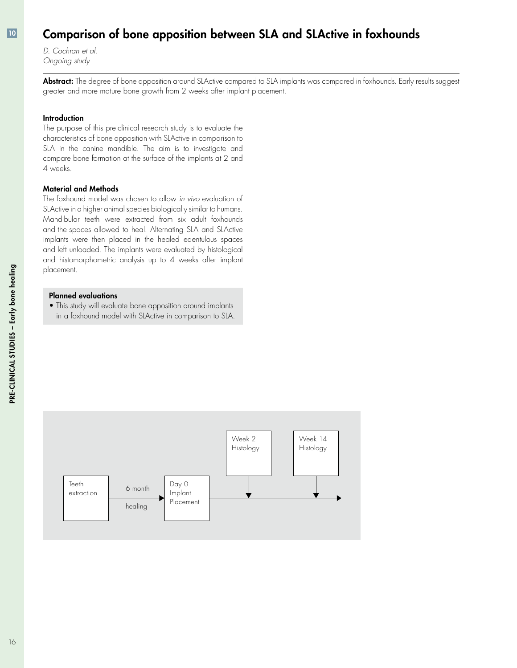### Comparison of bone apposition between SLA and SLActive in foxhounds

*D. Cochran et al. Ongoing study*

Abstract: The degree of bone apposition around SLActive compared to SLA implants was compared in foxhounds. Early results suggest greater and more mature bone growth from 2 weeks after implant placement.

#### **Introduction**

The purpose of this pre-clinical research study is to evaluate the characteristics of bone apposition with SLActive in comparison to SLA in the canine mandible. The aim is to investigate and compare bone formation at the surface of the implants at 2 and 4 weeks.

#### Material and Methods

The foxhound model was chosen to allow *in vivo* evaluation of SLActive in a higher animal species biologically similar to humans. Mandibular teeth were extracted from six adult foxhounds and the spaces allowed to heal. Alternating SLA and SLActive implants were then placed in the healed edentulous spaces and left unloaded. The implants were evaluated by histological and histomorphometric analysis up to 4 weeks after implant placement.

#### Planned evaluations

• This study will evaluate bone apposition around implants in a foxhound model with SLActive in comparison to SLA.

![](_page_15_Figure_9.jpeg)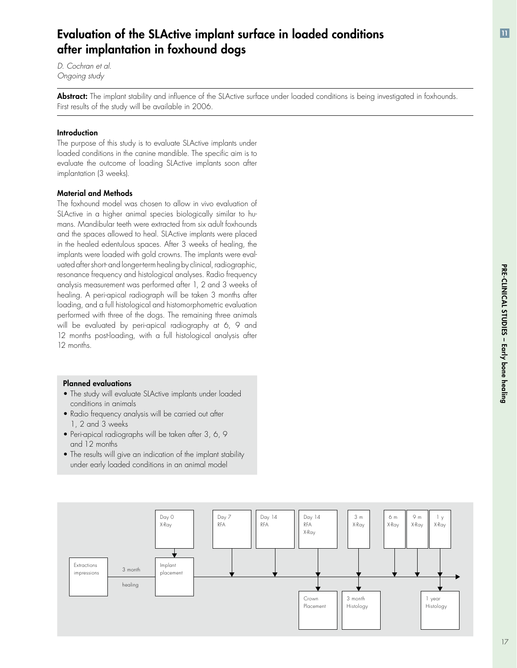### Evaluation of the SLActive implant surface in loaded conditions after implantation in foxhound dogs

*D. Cochran et al. Ongoing study*

Abstract: The implant stability and influence of the SLActive surface under loaded conditions is being investigated in foxhounds. First results of the study will be available in 2006.

#### Introduction

The purpose of this study is to evaluate SLActive implants under loaded conditions in the canine mandible. The specific aim is to evaluate the outcome of loading SLActive implants soon after implantation (3 weeks).

#### Material and Methods

The foxhound model was chosen to allow in vivo evaluation of SLActive in a higher animal species biologically similar to humans. Mandibular teeth were extracted from six adult foxhounds and the spaces allowed to heal. SLActive implants were placed in the healed edentulous spaces. After 3 weeks of healing, the implants were loaded with gold crowns. The implants were evaluated after short- and longer-term healing by clinical, radiographic, resonance frequency and histological analyses. Radio frequency analysis measurement was performed after 1, 2 and 3 weeks of healing. A peri-apical radiograph will be taken 3 months after loading, and a full histological and histomorphometric evaluation performed with three of the dogs. The remaining three animals will be evaluated by peri-apical radiography at 6, 9 and 12 months post-loading, with a full histological analysis after 12 months.

#### Planned evaluations

- The study will evaluate SLActive implants under loaded conditions in animals
- Radio frequency analysis will be carried out after 1, 2 and 3 weeks
- $\bullet$  Peri-apical radiographs will be taken atter 3, 6, 9  $\hspace{0.1mm}$ and 12 months
- The results will give an indication of the implant stability under early loaded conditions in an animal model

![](_page_16_Figure_12.jpeg)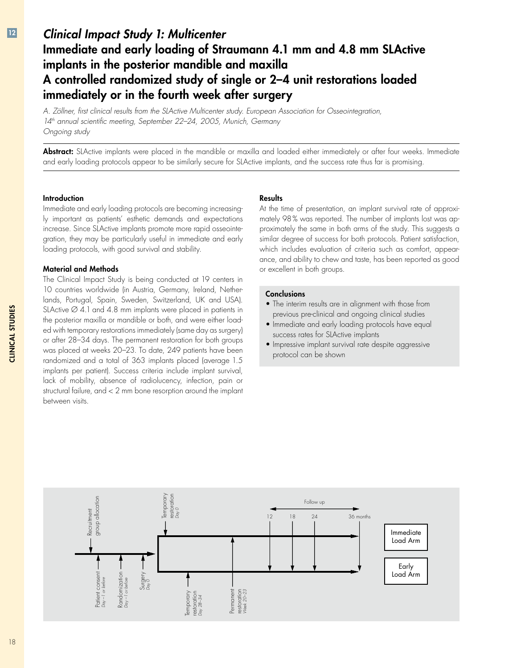### *Clinical Impact Study 1: Multicenter* Immediate and early loading of Straumann 4.1 mm and 4.8 mm SLActive implants in the posterior mandible and maxilla A controlled randomized study of single or 2–4 unit restorations loaded immediately or in the fourth week after surgery

*A. Zöllner, first clinical results from the SLActive Multicenter study. European Association for Osseointegration, 14th annual scientific meeting, September 22–24, 2005, Munich, Germany Ongoing study*

Abstract: SLActive implants were placed in the mandible or maxilla and loaded either immediately or after four weeks. Immediate and early loading protocols appear to be similarly secure for SLActive implants, and the success rate thus far is promising.

#### Introduction

Immediate and early loading protocols are becoming increasingly important as patients' esthetic demands and expectations increase. Since SLActive implants promote more rapid osseointegration, they may be particularly useful in immediate and early loading protocols, with good survival and stability.

#### Material and Methods

The Clinical Impact Study is being conducted at 19 centers in 10 countries worldwide (in Austria, Germany, Ireland, Netherlands, Portugal, Spain, Sweden, Switzerland, UK and USA). SLActive  $\varnothing$  4.1 and 4.8 mm implants were placed in patients in the posterior maxilla or mandible or both, and were either loaded with temporary restorations immediately (same day as surgery) or after 28–34 days. The permanent restoration for both groups was placed at weeks 20–23. To date, 249 patients have been randomized and a total of 363 implants placed (average 1.5 implants per patient). Success criteria include implant survival, lack of mobility, absence of radiolucency, infection, pain or structural failure, and < 2 mm bone resorption around the implant between visits.

#### **Results**

At the time of presentation, an implant survival rate of approximately 98% was reported. The number of implants lost was approximately the same in both arms of the study. This suggests a similar degree of success for both protocols. Patient satisfaction, which includes evaluation of criteria such as comfort, appearance, and ability to chew and taste, has been reported as good or excellent in both groups.

#### **Conclusions**

- The interim results are in alignment with those from previous pre-clinical and ongoing clinical studies
- Immediate and early loading protocols have equal success rates for SLActive implants
- Impressive implant survival rate despite aggressive protocol can be shown

![](_page_17_Figure_13.jpeg)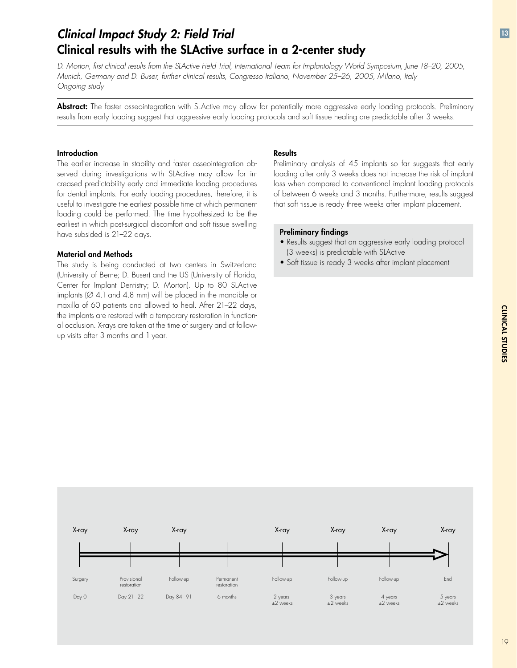# *Clinical Impact Study 2: Field Trial* Clinical results with the SLActive surface in a 2-center study

D. Morton, first clinical results from the SLActive Field Trial, International Team for Implantology World Symposium, June 18-20, 2005, *Munich, Germany and D. Buser, further clinical results, Congresso Italiano, November 25–26, 2005, Milano, Italy Ongoing study*

Abstract: The faster osseointegration with SLActive may allow for potentially more aggressive early loading protocols. Preliminary results from early loading suggest that aggressive early loading protocols and soft tissue healing are predictable after 3 weeks.

#### **Introduction**

The earlier increase in stability and faster osseointegration observed during investigations with SLActive may allow for increased predictability early and immediate loading procedures for dental implants. For early loading procedures, therefore, it is useful to investigate the earliest possible time at which permanent loading could be performed. The time hypothesized to be the earliest in which post-surgical discomfort and soft tissue swelling have subsided is 21–22 days.

#### Material and Methods

The study is being conducted at two centers in Switzerland (University of Berne; D. Buser) and the US (University of Florida, Center for Implant Dentistry; D. Morton). Up to 80 SLActive implants (Ø 4.1 and 4.8 mm) will be placed in the mandible or maxilla of 60 patients and allowed to heal. After 21–22 days, the implants are restored with a temporary restoration in functional occlusion. X-rays are taken at the time of surgery and at followup visits after 3 months and 1 year.

#### **Results**

Preliminary analysis of 45 implants so far suggests that early loading after only 3 weeks does not increase the risk of implant loss when compared to conventional implant loading protocols of between 6 weeks and 3 months. Furthermore, results suggest that soft tissue is ready three weeks after implant placement.

#### Preliminary findings

- Results suggest that an aggressive early loading protocol (3 weeks) is predictable with SLActive
- Soft tissue is ready 3 weeks after implant placement •

![](_page_18_Figure_12.jpeg)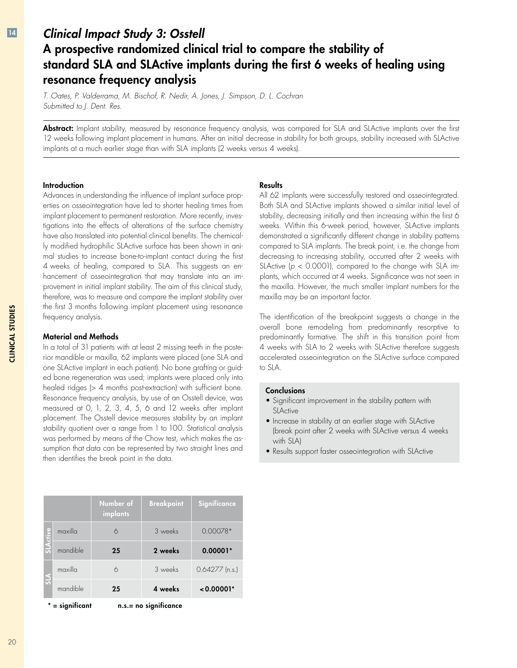### *Clinical Impact Study 3: Osstell* A prospective randomized clinical trial to compare the stability of standard SLA and SLActive implants during the first 6 weeks of healing using resonance frequency analysis

*T. Oates, P. Valderrama, M. Bischof, R. Nedir, A. Jones, J. Simpson, D. L. Cochran Submitted to J. Dent. Res.*

Abstract: Implant stability, measured by resonance frequency analysis, was compared for SLA and SLActive implants over the first 12 weeks following implant placement in humans. After an initial decrease in stability for both groups, stability increased with SLActive implants at a much earlier stage than with SLA implants (2 weeks versus 4 weeks).

#### Introduction

Advances in understanding the influence of implant surface properties on osseointegration have led to shorter healing times from implant placement to permanent restoration. More recently, investigations into the effects of alterations of the surface chemistry have also translated into potential clinical benefits. The chemically modified hydrophilic SLActive surface has been shown in animal studies to increase bone-to-implant contact during the first 4 weeks of healing, compared to SLA. This suggests an enhancement of osseointegration that may translate into an improvement in initial implant stability. The aim of this clinical study, therefore, was to measure and compare the implant stability over the first 3 months following implant placement using resonance frequency analysis.

#### Material and Methods

In a total of 31 patients with at least 2 missing teeth in the posterior mandible or maxilla, 62 implants were placed (one SLA and one SLActive implant in each patient). No bone grafting or guided bone regeneration was used; implants were placed only into healed ridges (> 4 months post-extraction) with sufficient bone. Resonance frequency analysis, by use of an Osstell device, was measured at 0, 1, 2, 3, 4, 5, 6 and 12 weeks after implant placement. The Osstell device measures stability by an implant stability quotient over a range from 1 to 100. Statistical analysis was performed by means of the Chow test, which makes the assumption that data can be represented by two straight lines and then identifies the break point in the data.

|                                               |          | Number of<br>implants | <b>Breakpoint</b> | Significance     |  |  |
|-----------------------------------------------|----------|-----------------------|-------------------|------------------|--|--|
|                                               | maxilla  | 6                     | 3 weeks           | $0.00078*$       |  |  |
|                                               | mandible | 25                    | 2 weeks           | $0.00001*$       |  |  |
|                                               | maxilla  | 6                     | 3 weeks           | $0.64277$ (n.s.) |  |  |
|                                               | mandible | 25                    | 4 weeks           | $< 0.00001*$     |  |  |
| $n.s.= no$ significance<br>$^*$ = sianificant |          |                       |                   |                  |  |  |

#### **Results**

All 62 implants were successfully restored and osseointegrated. Both SLA and SLActive implants showed a similar initial level of stability, decreasing initially and then increasing within the first 6 weeks. Within this 6-week period, however, SLActive implants demonstrated a significantly different change in stability patterns compared to SLA implants. The break point, i.e. the change from decreasing to increasing stability, occurred after 2 weeks with SLActive ( $p < 0.0001$ ), compared to the change with SLA implants, which occurred at 4 weeks. Significance was not seen in the maxilla. However, the much smaller implant numbers for the maxilla may be an important factor.

The identification of the breakpoint suggests a change in the overall bone remodeling from predominantly resorptive to predominantly formative. The shift in this transition point from 4 weeks with SLA to 2 weeks with SLActive therefore suggests accelerated osseointegration on the SLActive surface compared to SLA.

#### **Conclusions**

- Significant improvement in the stability pattern with **SLActive**
- $\bullet$  Increase in stability at an earlier stage with SLActive (break point after 2 weeks with SLActive versus 4 weeks with SLA)
- Results support faster osseointegration with SLActive •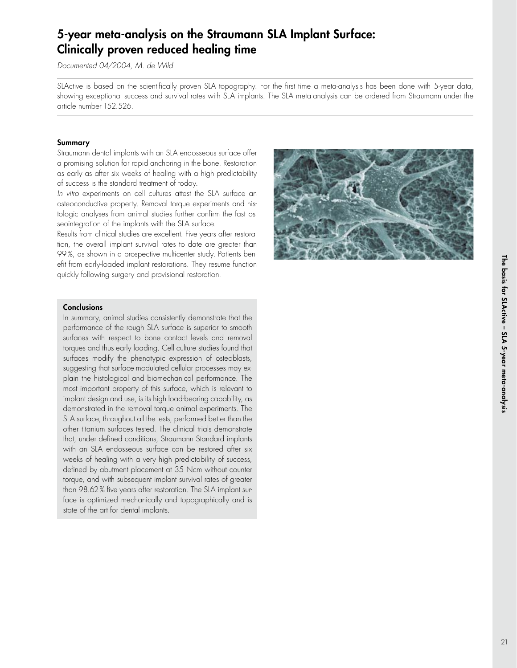### 5-year meta-analysis on the Straumann SLA Implant Surface: Clinically proven reduced healing time

*Documented 04/2004, M. de Wild*

SLActive is based on the scientifically proven SLA topography. For the first time a meta-analysis has been done with 5-year data, showing exceptional success and survival rates with SLA implants. The SLA meta-analysis can be ordered from Straumann under the article number 152.526.

#### Summary

Straumann dental implants with an SLA endosseous surface offer a promising solution for rapid anchoring in the bone. Restoration as early as after six weeks of healing with a high predictability of success is the standard treatment of today.

*In vitro* experiments on cell cultures attest the SLA surface an osteoconductive property. Removal torque experiments and histologic analyses from animal studies further confirm the fast osseointegration of the implants with the SLA surface.

Results from clinical studies are excellent. Five years after restoration, the overall implant survival rates to date are greater than 99%, as shown in a prospective multicenter study. Patients benefit from early-loaded implant restorations. They resume function quickly following surgery and provisional restoration.

![](_page_20_Picture_7.jpeg)

#### **Conclusions**

In summary, animal studies consistently demonstrate that the performance of the rough SLA surface is superior to smooth surfaces with respect to bone contact levels and removal torques and thus early loading. Cell culture studies found that surfaces modify the phenotypic expression of osteoblasts, suggesting that surface-modulated cellular processes may explain the histological and biomechanical performance. The most important property of this surface, which is relevant to implant design and use, is its high load-bearing capability, as demonstrated in the removal torque animal experiments. The SLA surface, throughout all the tests, performed better than the other titanium surfaces tested. The clinical trials demonstrate that, under defined conditions, Straumann Standard implants with an SLA endosseous surface can be restored after six weeks of healing with a very high predictability of success, defined by abutment placement at 35 Ncm without counter torque, and with subsequent implant survival rates of greater than 98.62% five years after restoration. The SLA implant surface is optimized mechanically and topographically and is state of the art for dental implants.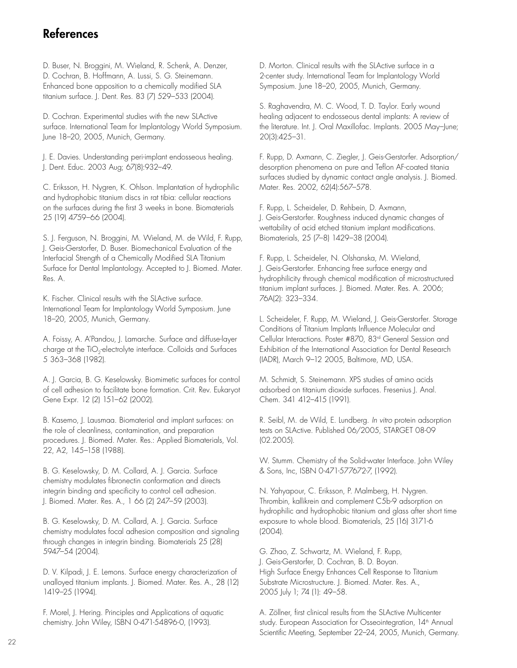### References

D. Buser, N. Broggini, M. Wieland, R. Schenk, A. Denzer, D. Cochran, B. Hoffmann, A. Lussi, S. G. Steinemann. Enhanced bone apposition to a chemically modified SLA titanium surface. J. Dent. Res. 83 (7) 529–533 (2004).

D. Cochran. Experimental studies with the new SLActive surface. International Team for Implantology World Symposium. June 18–20, 2005, Munich, Germany.

J. E. Davies. Understanding peri-implant endosseous healing. J. Dent. Educ. 2003 Aug; 67(8):932–49.

C. Eriksson, H. Nygren, K. Ohlson. Implantation of hydrophilic and hydrophobic titanium discs in rat tibia: cellular reactions on the surfaces during the first 3 weeks in bone. Biomaterials 25 (19) 4759–66 (2004).

S. J. Ferguson, N. Broggini, M. Wieland, M. de Wild, F. Rupp, J. Geis-Gerstorfer, D. Buser. Biomechanical Evaluation of the Interfacial Strength of a Chemically Modified SLA Titanium Surface for Dental Implantology. Accepted to J. Biomed. Mater. Res. A.

K. Fischer. Clinical results with the SLActive surface. International Team for Implantology World Symposium. June 18–20, 2005, Munich, Germany.

A. Foissy, A. A'Pandou, J. Lamarche. Surface and diffuse-layer charge at the TiO<sub>2</sub>-electrolyte interface. Colloids and Surfaces 5 363–368 (1982).

A. J. Garcia, B. G. Keselowsky. Biomimetic surfaces for control of cell adhesion to facilitate bone formation. Crit. Rev. Eukaryot Gene Expr. 12 (2) 151–62 (2002).

B. Kasemo, J. Lausmaa. Biomaterial and implant surfaces: on the role of cleanliness, contamination, and preparation procedures. J. Biomed. Mater. Res.: Applied Biomaterials, Vol. 22, A2, 145–158 (1988).

B. G. Keselowsky, D. M. Collard, A. J. Garcia. Surface chemistry modulates fibronectin conformation and directs integrin binding and specificity to control cell adhesion. J. Biomed. Mater. Res. A., 1 66 (2) 247–59 (2003).

B. G. Keselowsky, D. M. Collard, A. J. Garcia. Surface chemistry modulates focal adhesion composition and signaling through changes in integrin binding. Biomaterials 25 (28) 5947–54 (2004).

D. V. Kilpadi, J. E. Lemons. Surface energy characterization of unalloyed titanium implants. J. Biomed. Mater. Res. A., 28 (12) 1419–25 (1994).

F. Morel, J. Hering. Principles and Applications of aquatic chemistry. John Wiley, ISBN 0-471-54896-0, (1993).

D. Morton. Clinical results with the SLActive surface in a 2-center study. International Team for Implantology World Symposium. June 18–20, 2005, Munich, Germany.

S. Raghavendra, M. C. Wood, T. D. Taylor. Early wound healing adjacent to endosseous dental implants: A review of the literature. Int. J. Oral Maxillofac. Implants. 2005 May–June; 20(3):425–31.

F. Rupp, D. Axmann, C. Ziegler, J. Geis-Gerstorfer. Adsorption/ desorption phenomena on pure and Teflon AF-coated titania surfaces studied by dynamic contact angle analysis. J. Biomed. Mater. Res. 2002, 62(4):567–578.

F. Rupp, L. Scheideler, D. Rehbein, D. Axmann, J. Geis-Gerstorfer. Roughness induced dynamic changes of wettability of acid etched titanium implant modifications. Biomaterials, 25 (7–8) 1429–38 (2004).

F. Rupp, L. Scheideler, N. Olshanska, M. Wieland, J. Geis-Gerstorfer. Enhancing free surface energy and hydrophilicity through chemical modification of microstructured titanium implant surfaces. J. Biomed. Mater. Res. A. 2006; 76A(2): 323–334.

L. Scheideler, F. Rupp, M. Wieland, J. Geis-Gerstorfer. Storage Conditions of Titanium Implants Influence Molecular and Cellular Interactions. Poster #870, 83rd General Session and Exhibition of the International Association for Dental Research (IADR), March 9–12 2005, Baltimore, MD, USA.

M. Schmidt, S. Steinemann. XPS studies of amino acids adsorbed on titanium dioxide surfaces. Fresenius J. Anal. Chem. 341 412–415 (1991).

R. Seibl, M. de Wild, E. Lundberg. *In vitro* protein adsorption tests on SLActive. Published 06/2005, STARGET 08-09 (02.2005).

W. Stumm. Chemistry of the Solid-water Interface. John Wiley & Sons, Inc, ISBN 0-471-577672-7, (1992).

N. Yahyapour, C. Eriksson, P. Malmberg, H. Nygren. Thrombin, kallikrein and complement C5b-9 adsorption on hydrophilic and hydrophobic titanium and glass after short time exposure to whole blood. Biomaterials, 25 (16) 3171-6 (2004).

G. Zhao, Z. Schwartz, M. Wieland, F. Rupp, J. Geis-Gerstorfer, D. Cochran, B. D. Boyan. High Surface Energy Enhances Cell Response to Titanium Substrate Microstructure. J. Biomed. Mater. Res. A., 2005 July 1; 74 (1): 49–58.

A. Zöllner, first clinical results from the SLActive Multicenter study. European Association for Osseointegration, 14<sup>th</sup> Annual Scientific Meeting, September 22–24, 2005, Munich, Germany.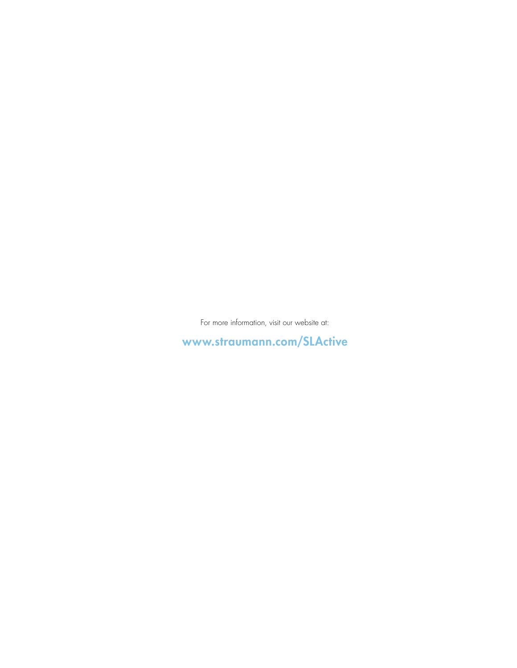For more information, visit our website at:

www.straumann.com/SLActive